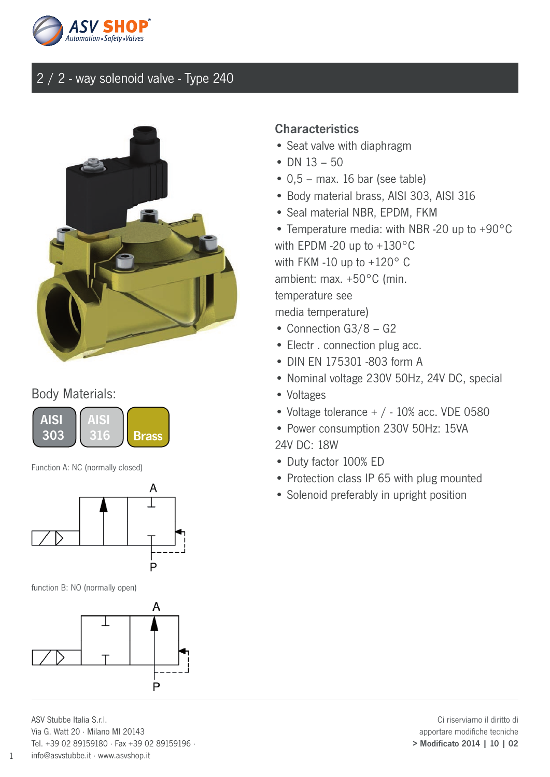



#### Body Materials:



Function A: NC (normally closed)



function B: NO (normally open)



ASV Stubbe Italia S.r.l. Via G. Watt 20 · Milano MI 20143 Tel. +39 02 89159180 · Fax +39 02 89159196 · info@asvstubbe.it · www.asvshop.it

#### **Characteristics**

- Seat valve with diaphragm
- DN 13 50
- $\bullet$  0,5 max. 16 bar (see table)
- Body material brass, AISI 303, AISI 316
- Seal material NBR, EPDM, FKM
- Temperature media: with NBR -20 up to +90°C with EPDM -20 up to +130°C with FKM -10 up to +120° C ambient: max. +50°C (min. temperature see media temperature)
- Connection G3/8 G2
- Electr . connection plug acc.
- DIN EN 175301 -803 form A
- Nominal voltage 230V 50Hz, 24V DC, special
- Voltages
- Voltage tolerance + / 10% acc. VDE 0580
- Power consumption 230V 50Hz: 15VA 24V DC: 18W
- Duty factor 100% ED
- Protection class IP 65 with plug mounted
- Solenoid preferably in upright position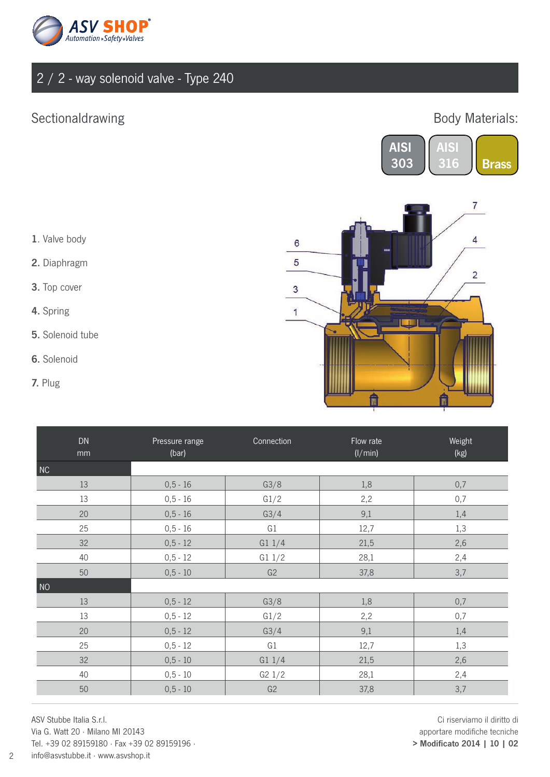

### Sectionaldrawing

#### Body Materials:





- 1. Valve body
- 2. Diaphragm
- 3. Top cover
- 4. Spring
- 5. Solenoid tube
- 6. Solenoid
- 7. Plug

| ${\sf DN}$<br>mm | Pressure range<br>(bar) | Connection | Flow rate<br>(1/min) | Weight<br>(kg) |
|------------------|-------------------------|------------|----------------------|----------------|
| NC               |                         |            |                      |                |
| 13               | $0, 5 - 16$             | G3/8       | 1,8                  | 0,7            |
| 13               | $0, 5 - 16$             | G1/2       | 2,2                  | 0,7            |
| 20               | $0, 5 - 16$             | G3/4       | 9,1                  | 1,4            |
| 25               | $0, 5 - 16$             | G1         | 12,7                 | 1,3            |
| 32               | $0,5 - 12$              | G11/4      | 21,5                 | 2,6            |
| 40               | $0, 5 - 12$             | G11/2      | 28,1                 | 2,4            |
| 50               | $0, 5 - 10$             | G2         | 37,8                 | 3,7            |
| NO               |                         |            |                      |                |
| 13               | $0, 5 - 12$             | G3/8       | 1,8                  | $0,7$          |
| 13               | $0, 5 - 12$             | G1/2       | 2,2                  | 0,7            |
| 20               | $0, 5 - 12$             | G3/4       | 9,1                  | 1,4            |
| 25               | $0, 5 - 12$             | G1         | 12,7                 | 1,3            |
| 32               | $0, 5 - 10$             | G11/4      | 21,5                 | 2,6            |
| 40               | $0, 5 - 10$             | G2 1/2     | 28,1                 | 2,4            |
| 50               | $0, 5 - 10$             | G2         | 37,8                 | 3,7            |

ASV Stubbe Italia S.r.l. Via G. Watt 20 · Milano MI 20143

Tel. +39 02 89159180 · Fax +39 02 89159196 · info@asvstubbe.it · www.asvshop.it

Ci riserviamo il diritto di apportare modifiche tecniche > Modificato 2014 | 10 | 02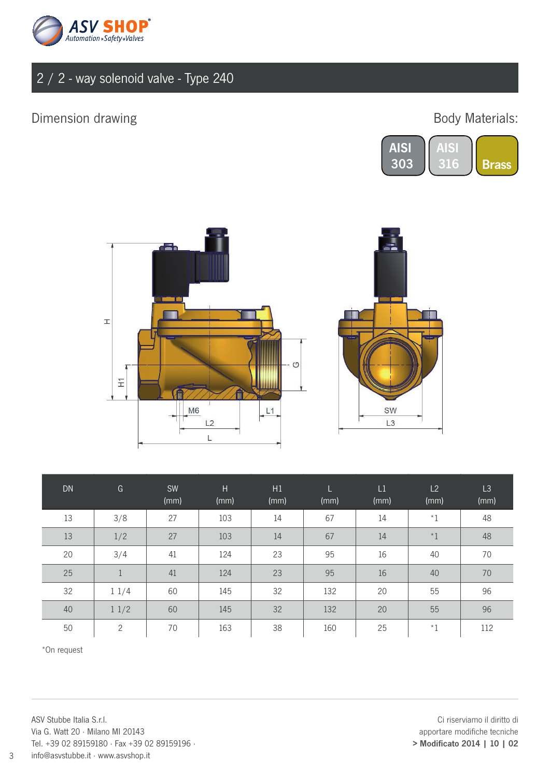

## Dimension drawing and the state of the Body Materials:





| <b>DN</b> | G              | <b>SW</b><br>(mm) | H<br>(mm) | H1<br>(mm) | L.<br>(mm) | L1<br>(mm) | L2<br>(mm) | L3<br>(mm) |
|-----------|----------------|-------------------|-----------|------------|------------|------------|------------|------------|
| 13        | 3/8            | 27                | 103       | 14         | 67         | 14         | $^\star1$  | 48         |
| 13        | 1/2            | 27                | 103       | 14         | 67         | 14         | $*1$       | 48         |
| 20        | 3/4            | 41                | 124       | 23         | 95         | 16         | 40         | 70         |
| 25        | $\mathbf 1$    | 41                | 124       | 23         | 95         | 16         | 40         | 70         |
| 32        | 11/4           | 60                | 145       | 32         | 132        | 20         | 55         | 96         |
| 40        | 11/2           | 60                | 145       | 32         | 132        | 20         | 55         | 96         |
| 50        | $\overline{2}$ | 70                | 163       | 38         | 160        | 25         | $*1$       | 112        |

\*On request

ASV Stubbe Italia S.r.l. Via G. Watt 20 · Milano MI 20143 Tel. +39 02 89159180 · Fax +39 02 89159196 · info@asvstubbe.it · www.asvshop.it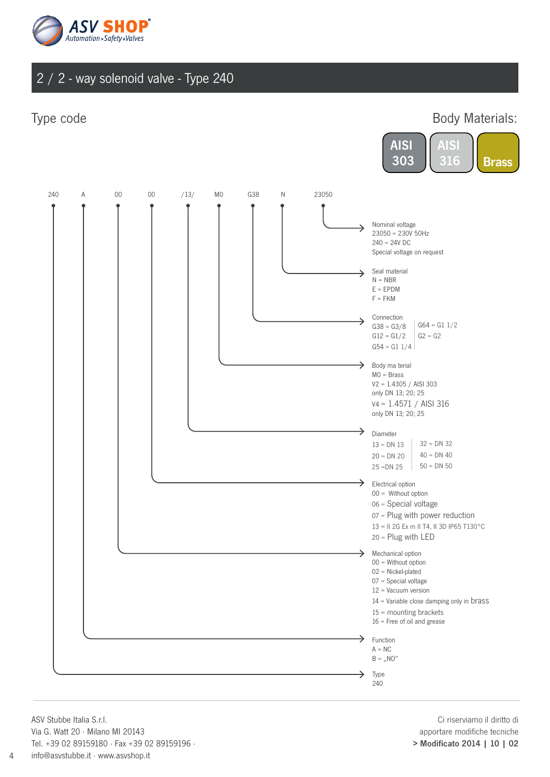

#### Type code

#### Body Materials:





ASV Stubbe Italia S.r.l. Via G. Watt 20 · Milano MI 20143 Tel. +39 02 89159180 · Fax +39 02 89159196 · info@asvstubbe.it · www.asvshop.it

Ci riserviamo il diritto di apportare modifiche tecniche > Modificato 2014 | 10 | 02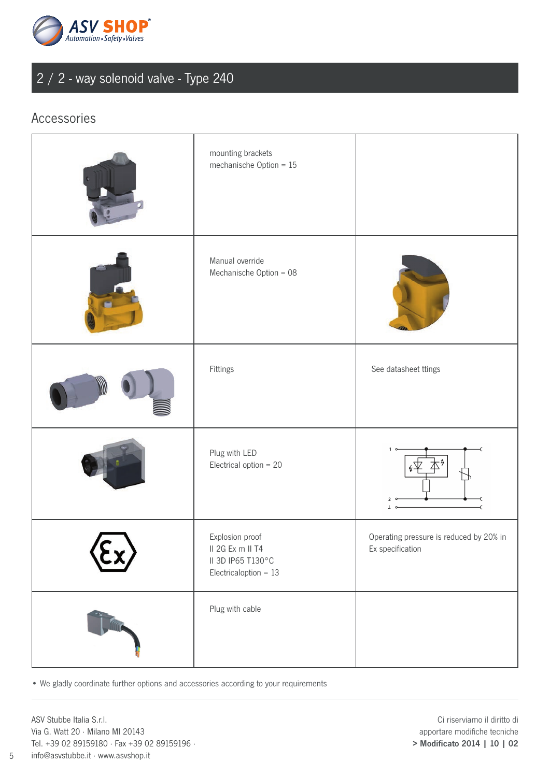

#### Accessories

|      | mounting brackets<br>mechanische Option = $15$                                      |                                                             |
|------|-------------------------------------------------------------------------------------|-------------------------------------------------------------|
|      | Manual override<br>Mechanische Option = 08                                          |                                                             |
|      | Fittings                                                                            | See datasheet ttings                                        |
|      | Plug with LED<br>Electrical option $= 20$                                           | 1<br>$\overline{2}$<br>T                                    |
| SEX. | Explosion proof<br>II 2G Ex m II T4<br>II 3D IP65 T130°C<br>Electricaloption = $13$ | Operating pressure is reduced by 20% in<br>Ex specification |
|      | Plug with cable                                                                     |                                                             |

• We gladly coordinate further options and accessories according to your requirements